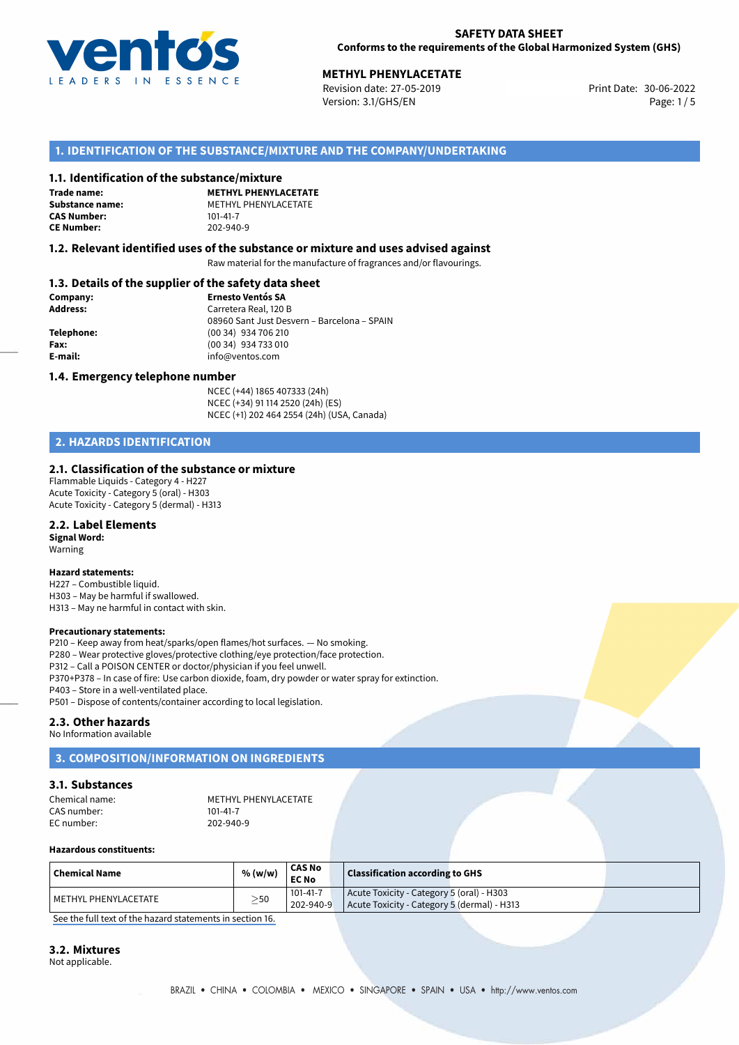

# **30-06-2022 METHYL PHENYLACETATE**<br>30-06-2022 Revision date: 27-05-2019

Revision date: 27-05-2019 Version: 3.1/GHS/EN Page: 1 / 5

# **1. IDENTIFICATION OF THE SUBSTANCE/MIXTURE AND THE COMPANY/UNDERTAKING**

#### **1.1. Identification of the substance/mixture**

**Trade name: CAS Number: CE Number:** 202-940-9

**METHYL PHENYLACETATE Substance name:** METHYL PHENYLACETATE<br> **CAS Number:** 101-41-7

#### **1.2. Relevant identified uses of the substance or mixture and uses advised against**

Raw material for the manufacture of fragrances and/or flavourings.

#### **1.3. Details of the supplier of the safety data sheet**

| Company:        | <b>Ernesto Ventós SA</b>                    |
|-----------------|---------------------------------------------|
| <b>Address:</b> | Carretera Real, 120 B                       |
|                 | 08960 Sant Just Desvern - Barcelona - SPAIN |
| Telephone:      | (00 34) 934 706 210                         |
| Fax:            | (00 34) 934 733 010                         |
| E-mail:         | info@ventos.com                             |
|                 |                                             |

#### **1.4. Emergency telephone number**

NCEC (+44) 1865 407333 (24h) NCEC (+34) 91 114 2520 (24h) (ES) NCEC (+1) 202 464 2554 (24h) (USA, Canada)

# **2. HAZARDS IDENTIFICATION**

#### **2.1. Classification of the substance or mixture**

Flammable Liquids - Category 4 - H227 Acute Toxicity - Category 5 (oral) - H303 Acute Toxicity - Category 5 (dermal) - H313

#### **2.2. Label Elements**

**Signal Word:** Warning

#### **Hazard statements:**

H227 – Combustible liquid. H303 – May be harmful if swallowed. H313 – May ne harmful in contact with skin.

#### **Precautionary statements:**

P210 – Keep away from heat/sparks/open flames/hot surfaces. — No smoking. P280 – Wear protective gloves/protective clothing/eye protection/face protection. P312 – Call a POISON CENTER or doctor/physician if you feel unwell. P370+P378 – In case of fire: Use carbon dioxide, foam, dry powder or water spray for extinction. P403 – Store in a well-ventilated place. P501 – Dispose of contents/container according to local legislation.

#### **2.3. Other hazards**

No Information available

# **3. COMPOSITION/INFORMATION ON INGREDIENTS**

#### **3.1. Substances**

| Chemical name: | METHYL PHENYLACETATE |
|----------------|----------------------|
| CAS number:    | $101 - 41 - 7$       |
| EC number:     | 202-940-9            |

#### **Hazardous constituents:**

| <b>Chemical Name</b>   | % (w/w)   | <b>CAS No</b><br><b>EC No</b> | <b>Classification according to GHS</b>                                                   |
|------------------------|-----------|-------------------------------|------------------------------------------------------------------------------------------|
| l METHYL PHENYLACETATE | $\geq$ 50 | 101-41-7<br>$202 - 940 - 9$   | Acute Toxicity - Category 5 (oral) - H303<br>Acute Toxicity - Category 5 (dermal) - H313 |

[See the full text of the hazard statements in section 16.](#page--1-0)

#### **3.2. Mixtures**

Not applicable.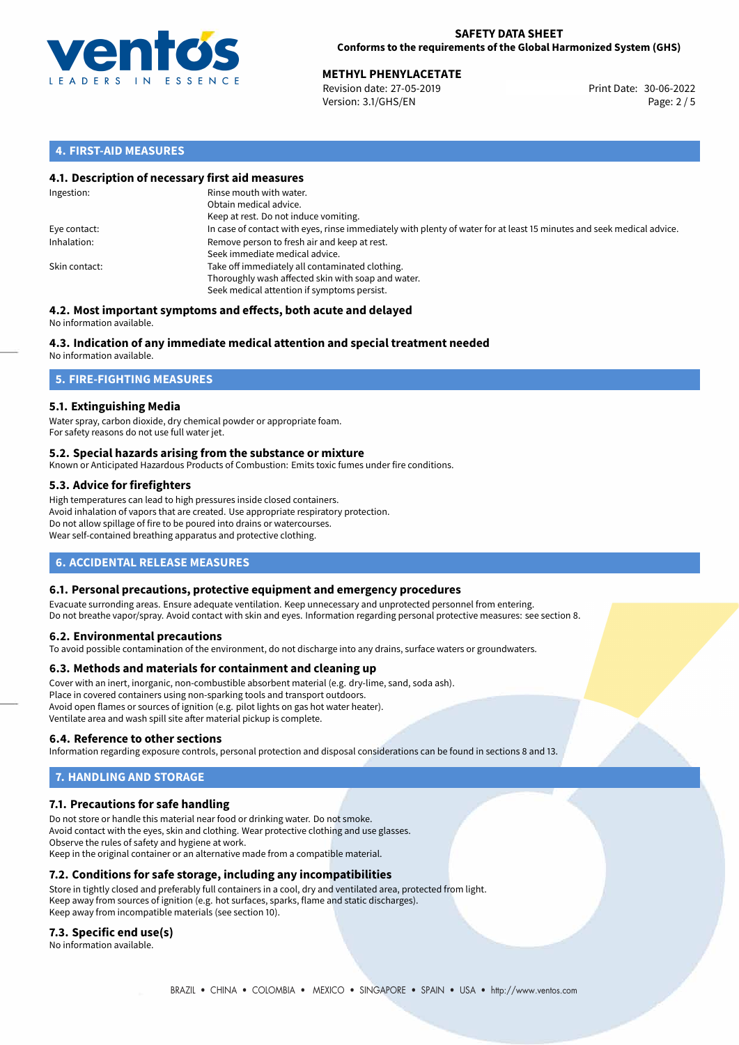

# **30-06-2022 METHYL PHENYLACETATE**<br>30-06-2022 Revision date: 27-05-2019

Revision date: 27-05-2019 Version: 3.1/GHS/EN Page: 2 / 5

## **4. FIRST-AID MEASURES**

#### **4.1. Description of necessary first aid measures**

| Ingestion:    | Rinse mouth with water.<br>Obtain medical advice.<br>Keep at rest. Do not induce vomiting.                                                           |
|---------------|------------------------------------------------------------------------------------------------------------------------------------------------------|
| Eye contact:  | In case of contact with eyes, rinse immediately with plenty of water for at least 15 minutes and seek medical advice.                                |
| Inhalation:   | Remove person to fresh air and keep at rest.<br>Seek immediate medical advice.                                                                       |
| Skin contact: | Take off immediately all contaminated clothing.<br>Thoroughly wash affected skin with soap and water.<br>Seek medical attention if symptoms persist. |

#### **4.2. Most important symptoms and effects, both acute and delayed** No information available.

# **4.3. Indication of any immediate medical attention and special treatment needed**

No information available.

# **5. FIRE-FIGHTING MEASURES**

## **5.1. Extinguishing Media**

Water spray, carbon dioxide, dry chemical powder or appropriate foam. For safety reasons do not use full water jet.

#### **5.2. Special hazards arising from the substance or mixture**

Known or Anticipated Hazardous Products of Combustion: Emits toxic fumes under fire conditions.

#### **5.3. Advice for firefighters**

High temperatures can lead to high pressures inside closed containers. Avoid inhalation of vapors that are created. Use appropriate respiratory protection. Do not allow spillage of fire to be poured into drains or watercourses. Wear self-contained breathing apparatus and protective clothing.

# **6. ACCIDENTAL RELEASE MEASURES**

#### **6.1. Personal precautions, protective equipment and emergency procedures**

Evacuate surronding areas. Ensure adequate ventilation. Keep unnecessary and unprotected personnel from entering. Do not breathe vapor/spray. Avoid contact with skin and eyes. Information regarding personal protective measures: see section 8.

#### **6.2. Environmental precautions**

To avoid possible contamination of the environment, do not discharge into any drains, surface waters or groundwaters.

#### **6.3. Methods and materials for containment and cleaning up**

Cover with an inert, inorganic, non-combustible absorbent material (e.g. dry-lime, sand, soda ash). Place in covered containers using non-sparking tools and transport outdoors. Avoid open flames or sources of ignition (e.g. pilot lights on gas hot water heater). Ventilate area and wash spill site after material pickup is complete.

#### **6.4. Reference to other sections**

Information regarding exposure controls, personal protection and disposal considerations can be found in sections 8 and 13.

# **7. HANDLING AND STORAGE**

#### **7.1. Precautions for safe handling**

Do not store or handle this material near food or drinking water. Do not smoke. Avoid contact with the eyes, skin and clothing. Wear protective clothing and use glasses. Observe the rules of safety and hygiene at work. Keep in the original container or an alternative made from a compatible material.

# **7.2. Conditions for safe storage, including any incompatibilities**

Store in tightly closed and preferably full containers in a cool, dry and ventilated area, protected from light. Keep away from sources of ignition (e.g. hot surfaces, sparks, flame and static discharges). Keep away from incompatible materials (see section 10).

#### **7.3. Specific end use(s)**

No information available.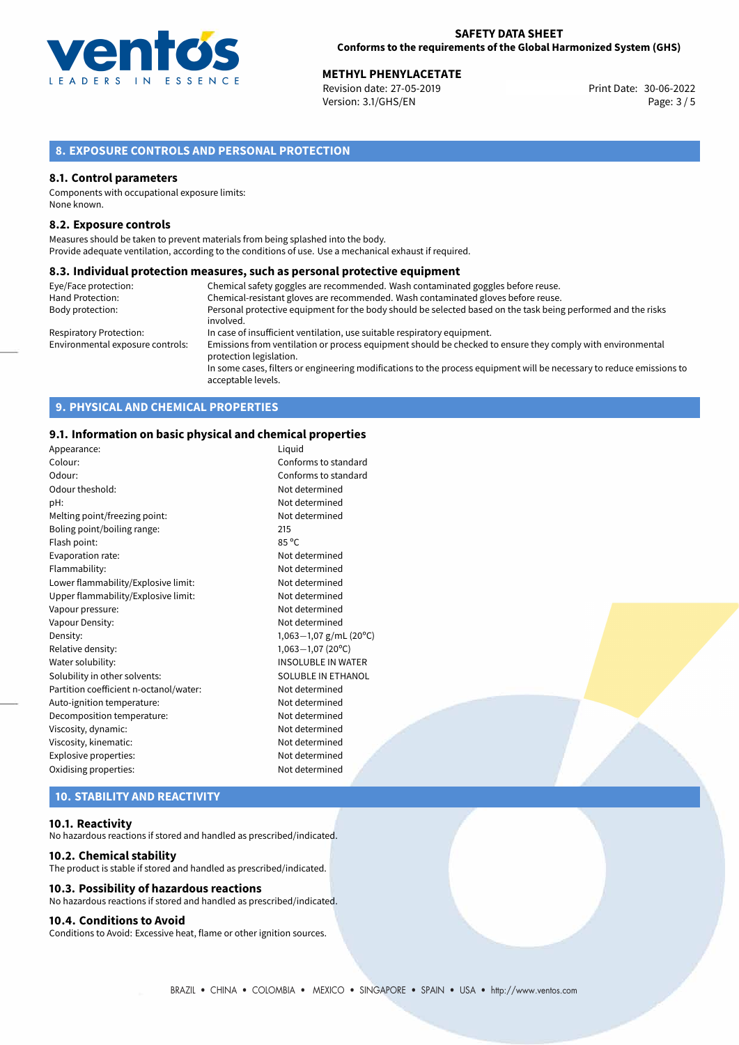

**METHYL PHENYLACETATE**<br>
Revision date: 27-05-2019 **Print Date: 30-06-2022** Version: 3.1/GHS/EN Page: 3 / 5

# **8. EXPOSURE CONTROLS AND PERSONAL PROTECTION**

#### **8.1. Control parameters**

Components with occupational exposure limits: None known.

#### **8.2. Exposure controls**

Measures should be taken to prevent materials from being splashed into the body. Provide adequate ventilation, according to the conditions of use. Use a mechanical exhaust if required.

#### **8.3. Individual protection measures, such as personal protective equipment**

| Eye/Face protection:             | Chemical safety goggles are recommended. Wash contaminated goggles before reuse.                                                            |
|----------------------------------|---------------------------------------------------------------------------------------------------------------------------------------------|
| Hand Protection:                 | Chemical-resistant gloves are recommended. Wash contaminated gloves before reuse.                                                           |
| Body protection:                 | Personal protective equipment for the body should be selected based on the task being performed and the risks                               |
|                                  | involved.                                                                                                                                   |
| Respiratory Protection:          | In case of insufficient ventilation, use suitable respiratory equipment.                                                                    |
| Environmental exposure controls: | Emissions from ventilation or process equipment should be checked to ensure they comply with environmental<br>protection legislation.       |
|                                  | In some cases, filters or engineering modifications to the process equipment will be necessary to reduce emissions to<br>acceptable levels. |

# **9. PHYSICAL AND CHEMICAL PROPERTIES**

#### **9.1. Information on basic physical and chemical properties**

| Appearance:                            | Liquid                    |
|----------------------------------------|---------------------------|
| Colour:                                | Conforms to standard      |
| Odour:                                 | Conforms to standard      |
| Odour theshold:                        | Not determined            |
| pH:                                    | Not determined            |
| Melting point/freezing point:          | Not determined            |
| Boling point/boiling range:            | 215                       |
| Flash point:                           | 85 °C                     |
| Evaporation rate:                      | Not determined            |
| Flammability:                          | Not determined            |
| Lower flammability/Explosive limit:    | Not determined            |
| Upper flammability/Explosive limit:    | Not determined            |
| Vapour pressure:                       | Not determined            |
| Vapour Density:                        | Not determined            |
| Density:                               | 1,063 $-1,07$ g/mL (20°C) |
| Relative density:                      | $1,063 - 1,07(20°C)$      |
| Water solubility:                      | <b>INSOLUBLE IN WATER</b> |
| Solubility in other solvents:          | SOLUBLE IN ETHANOL        |
| Partition coefficient n-octanol/water: | Not determined            |
| Auto-ignition temperature:             | Not determined            |
| Decomposition temperature:             | Not determined            |
| Viscosity, dynamic:                    | Not determined            |
| Viscosity, kinematic:                  | Not determined            |
| Explosive properties:                  | Not determined            |
| Oxidising properties:                  | Not determined            |
|                                        |                           |

# **10. STABILITY AND REACTIVITY**

#### **10.1. Reactivity**

No hazardous reactions if stored and handled as prescribed/indicated.

#### **10.2. Chemical stability**

The product is stable if stored and handled as prescribed/indicated.

#### **10.3. Possibility of hazardous reactions**

No hazardous reactions if stored and handled as prescribed/indicated.

#### **10.4. Conditions to Avoid**

Conditions to Avoid: Excessive heat, flame or other ignition sources.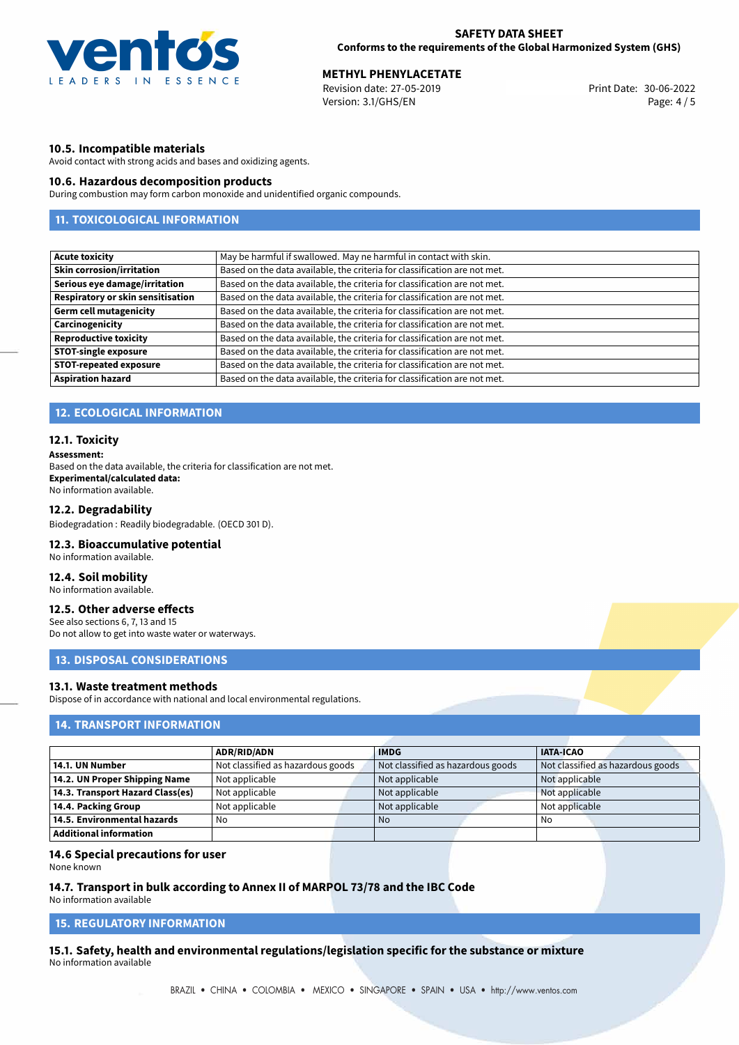

**METHYL PHENYLACETATE**<br>30-06-2022 Revision date: 27-05-2019 Revision date: 27-05-2019 Version: 3.1/GHS/EN Page: 4 / 5

#### **10.5. Incompatible materials**

Avoid contact with strong acids and bases and oxidizing agents.

#### **10.6. Hazardous decomposition products**

During combustion may form carbon monoxide and unidentified organic compounds.

# **11. TOXICOLOGICAL INFORMATION**

| <b>Acute toxicity</b>             | May be harmful if swallowed. May ne harmful in contact with skin.         |
|-----------------------------------|---------------------------------------------------------------------------|
| <b>Skin corrosion/irritation</b>  | Based on the data available, the criteria for classification are not met. |
| Serious eye damage/irritation     | Based on the data available, the criteria for classification are not met. |
| Respiratory or skin sensitisation | Based on the data available, the criteria for classification are not met. |
| <b>Germ cell mutagenicity</b>     | Based on the data available, the criteria for classification are not met. |
| Carcinogenicity                   | Based on the data available, the criteria for classification are not met. |
| <b>Reproductive toxicity</b>      | Based on the data available, the criteria for classification are not met. |
| <b>STOT-single exposure</b>       | Based on the data available, the criteria for classification are not met. |
| <b>STOT-repeated exposure</b>     | Based on the data available, the criteria for classification are not met. |
| <b>Aspiration hazard</b>          | Based on the data available, the criteria for classification are not met. |
|                                   |                                                                           |

#### **12. ECOLOGICAL INFORMATION**

#### **12.1. Toxicity**

#### **Assessment:**

Based on the data available, the criteria for classification are not met. **Experimental/calculated data:** No information available.

#### **12.2. Degradability**

Biodegradation : Readily biodegradable. (OECD 301 D).

#### **12.3. Bioaccumulative potential**

No information available.

## **12.4. Soil mobility**

No information available.

#### **12.5. Other adverse effects**

See also sections 6, 7, 13 and 15 Do not allow to get into waste water or waterways.

# **13. DISPOSAL CONSIDERATIONS**

#### **13.1. Waste treatment methods**

Dispose of in accordance with national and local environmental regulations.

# **14. TRANSPORT INFORMATION**

|                                  | <b>ADR/RID/ADN</b>                | <b>IMDG</b>                       | <b>IATA-ICAO</b>                  |
|----------------------------------|-----------------------------------|-----------------------------------|-----------------------------------|
|                                  |                                   |                                   |                                   |
| 14.1. UN Number                  | Not classified as hazardous goods | Not classified as hazardous goods | Not classified as hazardous goods |
| 14.2. UN Proper Shipping Name    | Not applicable                    | Not applicable                    | Not applicable                    |
| 14.3. Transport Hazard Class(es) | Not applicable                    | Not applicable                    | Not applicable                    |
| 14.4. Packing Group              | Not applicable                    | Not applicable                    | Not applicable                    |
| 14.5. Environmental hazards      | No                                | No.                               | No                                |
| Additional information           |                                   |                                   |                                   |

#### **14.6 Special precautions for user**

None known

#### **14.7. Transport in bulk according to Annex II of MARPOL 73/78 and the IBC Code**

No information available

#### **15. REGULATORY INFORMATION**

**15.1. Safety, health and environmental regulations/legislation specific for the substance or mixture** No information available